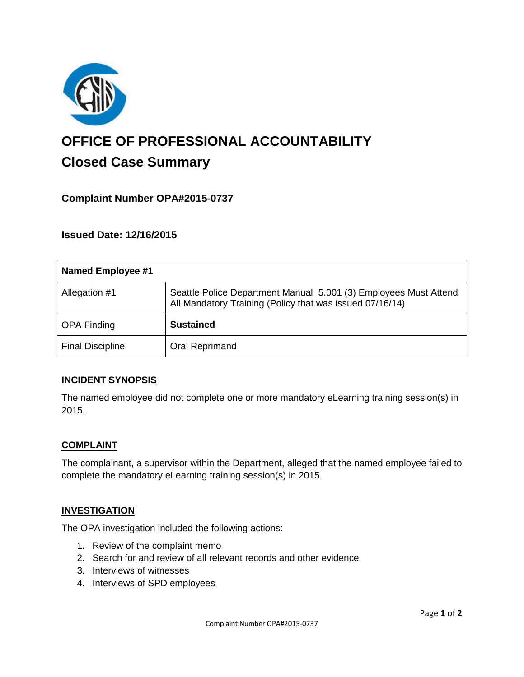

# **OFFICE OF PROFESSIONAL ACCOUNTABILITY Closed Case Summary**

## **Complaint Number OPA#2015-0737**

**Issued Date: 12/16/2015**

| Named Employee #1       |                                                                                                                              |
|-------------------------|------------------------------------------------------------------------------------------------------------------------------|
| Allegation #1           | Seattle Police Department Manual 5.001 (3) Employees Must Attend<br>All Mandatory Training (Policy that was issued 07/16/14) |
| <b>OPA Finding</b>      | <b>Sustained</b>                                                                                                             |
| <b>Final Discipline</b> | Oral Reprimand                                                                                                               |

#### **INCIDENT SYNOPSIS**

The named employee did not complete one or more mandatory eLearning training session(s) in 2015.

#### **COMPLAINT**

The complainant, a supervisor within the Department, alleged that the named employee failed to complete the mandatory eLearning training session(s) in 2015.

#### **INVESTIGATION**

The OPA investigation included the following actions:

- 1. Review of the complaint memo
- 2. Search for and review of all relevant records and other evidence
- 3. Interviews of witnesses
- 4. Interviews of SPD employees